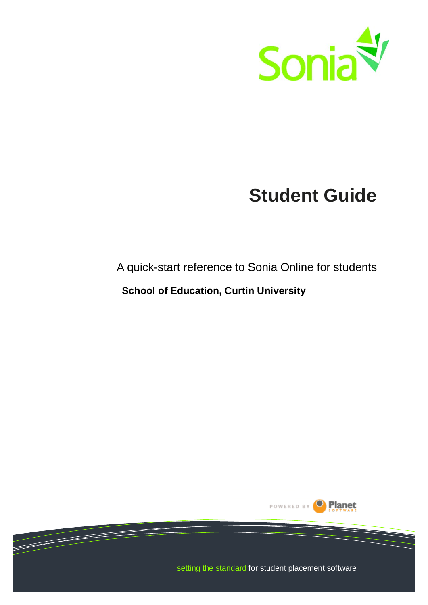<span id="page-0-0"></span>

# **Student Guide**

## <span id="page-0-1"></span>A quick-start reference to Sonia Online for students

### **School of Education, Curtin University**



setting the standard for student placement software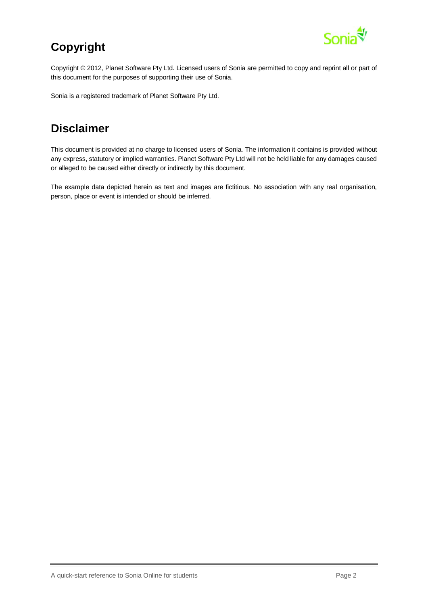

## <span id="page-1-0"></span>**Copyright**

Copyright © 2012, Planet Software Pty Ltd. Licensed users of Sonia are permitted to copy and reprint all or part of this document for the purposes of supporting their use of Sonia.

Sonia is a registered trademark of Planet Software Pty Ltd.

## <span id="page-1-1"></span>**Disclaimer**

This document is provided at no charge to licensed users of Sonia. The information it contains is provided without any express, statutory or implied warranties. Planet Software Pty Ltd will not be held liable for any damages caused or alleged to be caused either directly or indirectly by this document.

The example data depicted herein as text and images are fictitious. No association with any real organisation, person, place or event is intended or should be inferred.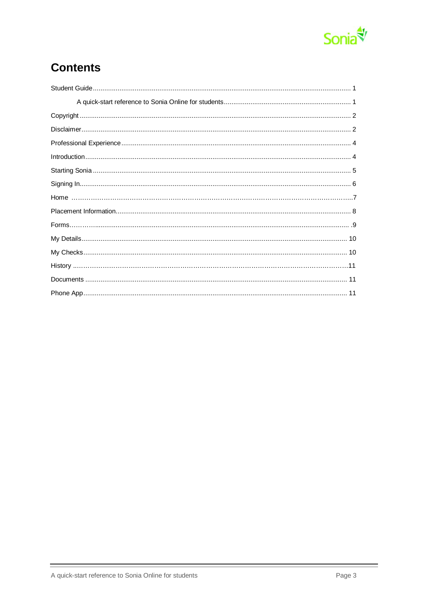

## **Contents**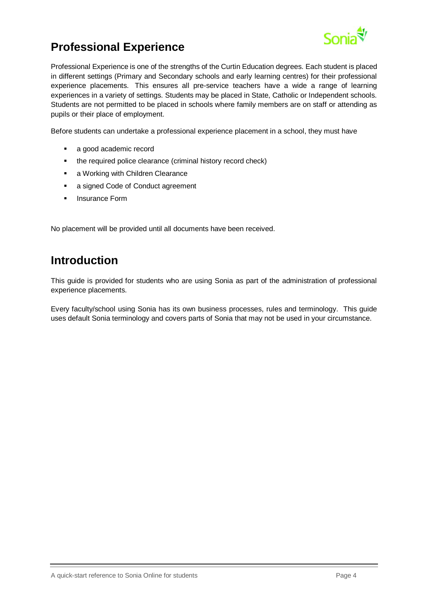

## <span id="page-3-0"></span>**Professional Experience**

Professional Experience is one of the strengths of the Curtin Education degrees. Each student is placed in different settings (Primary and Secondary schools and early learning centres) for their professional experience placements. This ensures all pre-service teachers have a wide a range of learning experiences in a variety of settings. Students may be placed in State, Catholic or Independent schools. Students are not permitted to be placed in schools where family members are on staff or attending as pupils or their place of employment.

Before students can undertake a professional experience placement in a school, they must have

- a good academic record
- the required police clearance (criminal history record check)
- **a** Working with Children Clearance
- **a** signed Code of Conduct agreement
- **Insurance Form**

No placement will be provided until all documents have been received.

#### <span id="page-3-1"></span>**Introduction**

This guide is provided for students who are using Sonia as part of the administration of professional experience placements.

Every faculty/school using Sonia has its own business processes, rules and terminology. This guide uses default Sonia terminology and covers parts of Sonia that may not be used in your circumstance.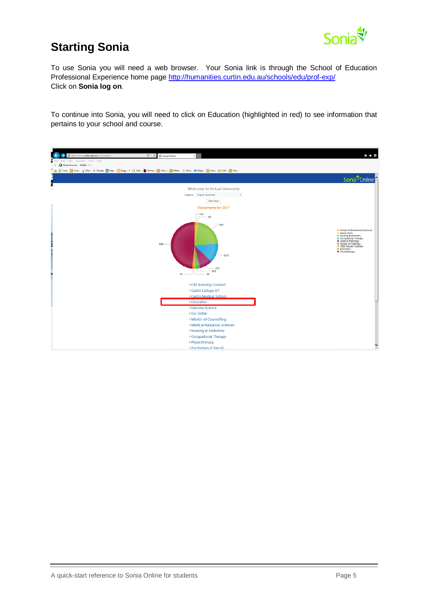

## <span id="page-4-0"></span>**Starting Sonia**

To use Sonia you will need a web browser. Your Sonia link is through the School of Education Professional Experience home page <http://humanities.curtin.edu.au/schools/edu/prof-exp/> Click on **Sonia log on**.

To continue into Sonia, you will need to click on Education (highlighted in red) to see information that pertains to your school and course.

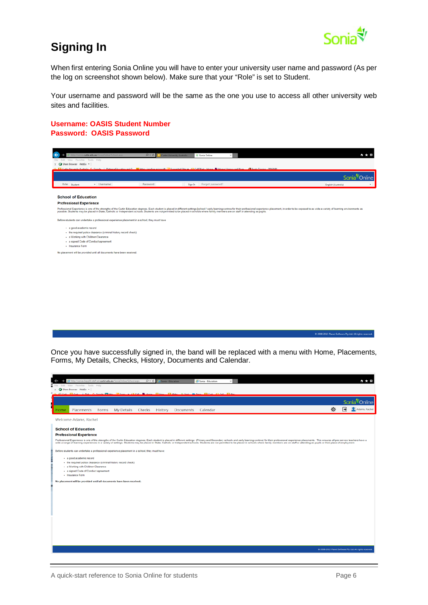

## <span id="page-5-0"></span>**Signing In**

When first entering Sonia Online you will have to enter your university user name and password (As per the log on screenshot shown below). Make sure that your "Role" is set to Student.

Your username and password will be the same as the one you use to access all other university web sites and facilities.

**Username: OASIS Student Number Password: OASIS Password**

| $\overline{\phantom{0}}$<br>http://sonia.curtin.edu.au/SoniaOnline/School.aspx                                                                                                                                                                                                                                                                                                                                             | $D - C$<br>Curtin University Australia | Sonia Online                |  |                     | *** |
|----------------------------------------------------------------------------------------------------------------------------------------------------------------------------------------------------------------------------------------------------------------------------------------------------------------------------------------------------------------------------------------------------------------------------|----------------------------------------|-----------------------------|--|---------------------|-----|
| File Edit View Favorites Tools Help                                                                                                                                                                                                                                                                                                                                                                                        |                                        |                             |  |                     |     |
| $\times$ <b>Q</b> Share Browser WebEx $\times$                                                                                                                                                                                                                                                                                                                                                                             |                                        |                             |  |                     |     |
| dy Ed Curtin University Australia, C. Google J. Distance Education and O. By Mtachinealine microsoft (ED Supported Star y C) CollORate Home. B Home Library and Num. C Footy Timping , 2016 MRL                                                                                                                                                                                                                            |                                        |                             |  |                     |     |
|                                                                                                                                                                                                                                                                                                                                                                                                                            |                                        |                             |  |                     |     |
| Role: Student<br>v Username:                                                                                                                                                                                                                                                                                                                                                                                               | Password:                              | Forgot password?<br>Sign In |  | English (Australia) |     |
| <b>School of Education</b>                                                                                                                                                                                                                                                                                                                                                                                                 |                                        |                             |  |                     |     |
| <b>Professional Experience</b>                                                                                                                                                                                                                                                                                                                                                                                             |                                        |                             |  |                     |     |
| Professional Experience is one of the strengths of the Curtin Education degrees. Each student is placed in different settings [school / early learning centres for their professional experience placement, in order to be exp<br>possible. Students may be placed in State, Catholic or Independent schools. Students are not permitted to be placed in schools where family members are on staff or attending as pupils. |                                        |                             |  |                     |     |
| Before students can undertake a professional experience placement in a school, they must have                                                                                                                                                                                                                                                                                                                              |                                        |                             |  |                     |     |
| - a good academic record                                                                                                                                                                                                                                                                                                                                                                                                   |                                        |                             |  |                     |     |
| . the required police clearance (criminal history record check)                                                                                                                                                                                                                                                                                                                                                            |                                        |                             |  |                     |     |
| - a Working with Children Clearance                                                                                                                                                                                                                                                                                                                                                                                        |                                        |                             |  |                     |     |
| - a signed Code of Conduct agreement<br>- Insurance Form                                                                                                                                                                                                                                                                                                                                                                   |                                        |                             |  |                     |     |
|                                                                                                                                                                                                                                                                                                                                                                                                                            |                                        |                             |  |                     |     |
| No placement will be provided until all documents have been received.                                                                                                                                                                                                                                                                                                                                                      |                                        |                             |  |                     |     |
|                                                                                                                                                                                                                                                                                                                                                                                                                            |                                        |                             |  |                     |     |
|                                                                                                                                                                                                                                                                                                                                                                                                                            |                                        |                             |  |                     |     |
|                                                                                                                                                                                                                                                                                                                                                                                                                            |                                        |                             |  |                     |     |
|                                                                                                                                                                                                                                                                                                                                                                                                                            |                                        |                             |  |                     |     |
|                                                                                                                                                                                                                                                                                                                                                                                                                            |                                        |                             |  |                     |     |
|                                                                                                                                                                                                                                                                                                                                                                                                                            |                                        |                             |  |                     |     |
|                                                                                                                                                                                                                                                                                                                                                                                                                            |                                        |                             |  |                     |     |
|                                                                                                                                                                                                                                                                                                                                                                                                                            |                                        |                             |  |                     |     |

Once you have successfully signed in, the band will be replaced with a menu with Home, Placements, Forms, My Details, Checks, History, Documents and Calendar.

<span id="page-5-1"></span>

| http://soniav3app01.staff.ad.curtin.edu.au/SoniaOnline/School.aspx<br>$D - C$<br>Sonia - Education<br>Sonia - Education                                                                                                                                                                                                                                                                                                                                          |   |   | * * *                                                     |
|------------------------------------------------------------------------------------------------------------------------------------------------------------------------------------------------------------------------------------------------------------------------------------------------------------------------------------------------------------------------------------------------------------------------------------------------------------------|---|---|-----------------------------------------------------------|
| View Favorites Tools Help<br>Edit<br>File:                                                                                                                                                                                                                                                                                                                                                                                                                       |   |   |                                                           |
| $\times$ Q Share Browser WebEx =<br>L. El Curt El Curt Dist C. Google ITI Mto Sugg v  ( J. Cell IN Home El How El Make  ( Soni ID Curt C. Cell El Zer.                                                                                                                                                                                                                                                                                                           |   |   |                                                           |
|                                                                                                                                                                                                                                                                                                                                                                                                                                                                  |   |   | Sonia <sup>₹</sup> Online                                 |
| My Details Checks History Documents Calendar<br>Placements<br>Forms<br>Home                                                                                                                                                                                                                                                                                                                                                                                      | 舂 | E | Adams, Rachel                                             |
| Welcome Adams, Rachel                                                                                                                                                                                                                                                                                                                                                                                                                                            |   |   |                                                           |
| <b>School of Education</b>                                                                                                                                                                                                                                                                                                                                                                                                                                       |   |   |                                                           |
| <b>Professional Experience</b>                                                                                                                                                                                                                                                                                                                                                                                                                                   |   |   |                                                           |
| Professional Experience is one of the strengths of the Curtin Education degrees. Each student is placed in different settings (Primary and Secondary schools and early learning centres) for their professional experience pla<br>wide a range of learning experiences in a variety of settings. Students may be placed in State. Catholic or Independent schools. Students are not permitted to be placed in schools. Where family members are on staff or atte |   |   |                                                           |
| Before students can undertake a professional experience placement in a school, they must have:                                                                                                                                                                                                                                                                                                                                                                   |   |   |                                                           |
| · a good academic record                                                                                                                                                                                                                                                                                                                                                                                                                                         |   |   |                                                           |
| - the required police clearance (criminal history record check)                                                                                                                                                                                                                                                                                                                                                                                                  |   |   |                                                           |
| - a Working with Children Clearance                                                                                                                                                                                                                                                                                                                                                                                                                              |   |   |                                                           |
| - a signed Code of Conduct agreement<br>- Insurance Form                                                                                                                                                                                                                                                                                                                                                                                                         |   |   |                                                           |
|                                                                                                                                                                                                                                                                                                                                                                                                                                                                  |   |   |                                                           |
| No placement will be provided until all documents have been received.                                                                                                                                                                                                                                                                                                                                                                                            |   |   |                                                           |
|                                                                                                                                                                                                                                                                                                                                                                                                                                                                  |   |   |                                                           |
|                                                                                                                                                                                                                                                                                                                                                                                                                                                                  |   |   |                                                           |
|                                                                                                                                                                                                                                                                                                                                                                                                                                                                  |   |   |                                                           |
|                                                                                                                                                                                                                                                                                                                                                                                                                                                                  |   |   |                                                           |
|                                                                                                                                                                                                                                                                                                                                                                                                                                                                  |   |   |                                                           |
|                                                                                                                                                                                                                                                                                                                                                                                                                                                                  |   |   |                                                           |
|                                                                                                                                                                                                                                                                                                                                                                                                                                                                  |   |   |                                                           |
|                                                                                                                                                                                                                                                                                                                                                                                                                                                                  |   |   |                                                           |
|                                                                                                                                                                                                                                                                                                                                                                                                                                                                  |   |   |                                                           |
|                                                                                                                                                                                                                                                                                                                                                                                                                                                                  |   |   |                                                           |
|                                                                                                                                                                                                                                                                                                                                                                                                                                                                  |   |   |                                                           |
|                                                                                                                                                                                                                                                                                                                                                                                                                                                                  |   |   | C 2008-2015 Planet Software Pty Ltd. All rights reserved. |
|                                                                                                                                                                                                                                                                                                                                                                                                                                                                  |   |   |                                                           |

C 2008-2015 Planet Sole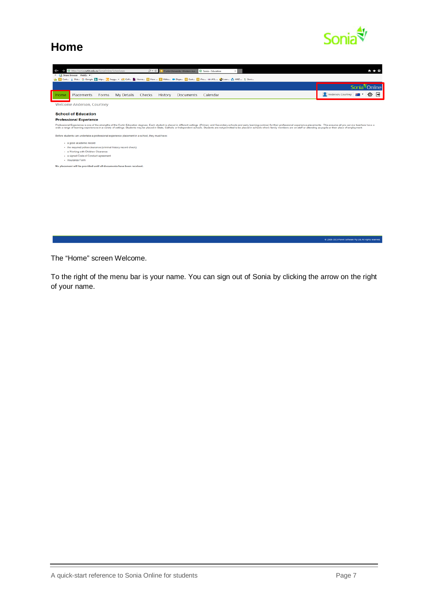

C 2008-2015 Planet Software Pty Ltd. All rights reserved.

#### **Home**

| http://sonia.curtin.edu.au/SoniaOnline/School.aspx<br>Curtin University, Western Aus G Sonia - Education<br>$D - C$                                                                                                                                                                                                                                                                                                                                              |                                         |
|------------------------------------------------------------------------------------------------------------------------------------------------------------------------------------------------------------------------------------------------------------------------------------------------------------------------------------------------------------------------------------------------------------------------------------------------------------------|-----------------------------------------|
| X Ch Share Browser WebEx =                                                                                                                                                                                                                                                                                                                                                                                                                                       |                                         |
| es and Curt ij Dist G Google [5] http in Sugg ▼ (2) Cell in Home [5] How  [5] Make @ Depa in Decl (2) iPer co AFL  @ Lear @ AFLZ  \$' Soni                                                                                                                                                                                                                                                                                                                       |                                         |
|                                                                                                                                                                                                                                                                                                                                                                                                                                                                  | Sonia Online                            |
| My Details Checks<br>Placements<br>History<br><b>Documents</b><br>Calendar<br>Forms<br>Home                                                                                                                                                                                                                                                                                                                                                                      | Anderson Courtney <b>AM</b><br>∣⇒<br>∙⊗ |
| Welcome Anderson, Courtney                                                                                                                                                                                                                                                                                                                                                                                                                                       |                                         |
| <b>School of Education</b>                                                                                                                                                                                                                                                                                                                                                                                                                                       |                                         |
| <b>Professional Experience</b>                                                                                                                                                                                                                                                                                                                                                                                                                                   |                                         |
| Professional Experience is one of the strengths of the Curtin Education degrees. Each student is placed in different settings (Primary and Secondary schools and early learning centres) for their professional experience pla<br>wide a range of learning experiences in a variety of settings. Students may be placed in State. Catholic or Independent schools. Students are not permitted to be placed in schools where family members are on staff or atten |                                         |
| Before students can undertake a professional experience placement in a school, they must have:                                                                                                                                                                                                                                                                                                                                                                   |                                         |
| · a good academic record                                                                                                                                                                                                                                                                                                                                                                                                                                         |                                         |
| - the required police clearance (criminal history record check)<br>- a Working with Children Clearance                                                                                                                                                                                                                                                                                                                                                           |                                         |
| · a signed Code of Conduct agreement                                                                                                                                                                                                                                                                                                                                                                                                                             |                                         |
| · Insurance Form                                                                                                                                                                                                                                                                                                                                                                                                                                                 |                                         |
| No placement will be provided until all documents have been received.                                                                                                                                                                                                                                                                                                                                                                                            |                                         |
|                                                                                                                                                                                                                                                                                                                                                                                                                                                                  |                                         |
|                                                                                                                                                                                                                                                                                                                                                                                                                                                                  |                                         |
|                                                                                                                                                                                                                                                                                                                                                                                                                                                                  |                                         |
|                                                                                                                                                                                                                                                                                                                                                                                                                                                                  |                                         |
|                                                                                                                                                                                                                                                                                                                                                                                                                                                                  |                                         |
|                                                                                                                                                                                                                                                                                                                                                                                                                                                                  |                                         |
|                                                                                                                                                                                                                                                                                                                                                                                                                                                                  |                                         |
|                                                                                                                                                                                                                                                                                                                                                                                                                                                                  |                                         |

The "Home" screen Welcome.

<span id="page-6-0"></span>To the right of the menu bar is your name. You can sign out of Sonia by clicking the arrow on the right of your name.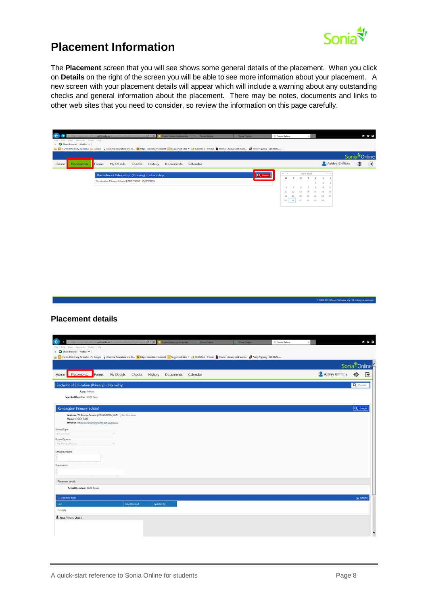

## **Placement Information**

The **Placement** screen that you will see shows some general details of the placement. When you click on **Details** on the right of the screen you will be able to see more information about your placement. A new screen with your placement details will appear which will include a warning about any outstanding checks and general information about the placement. There may be notes, documents and links to other web sites that you need to consider, so review the information on this page carefully.

| Cutin University Australia G Google ( Ustance Education and O De https--ieonline.microsoft ( a suggested Sites . ( 2 CellOPark - Home Literacy and Num 2 Footy Tipping - 2016 NRL,<br>Sonia <sup>₹</sup> Online<br>Ashley Griffiths<br>尊<br>My Details<br>Checks<br>History<br>Home<br>Placements<br>Forms<br>Documents<br>Calendar<br>April 2016<br>$_{\rm H}$<br>$-4$<br>Q <sub></sub> Detail<br><b>Bachelor of Education (Primary) - Internship</b><br>$\sf S$<br>м<br>т.<br>w<br>$\mathsf T$<br>s<br>F<br>Kensington Primary School   20/07/2015 - 25/09/2015<br>$\overline{2}$<br>$\overline{3}$<br>1<br>$\Delta$<br>6<br>$\overline{x}$<br>$\bar{a}$<br>$\mathbf{9}$<br>$10$<br>$\sim$<br>$11\,$<br>$12\,$<br>13<br>$14\,$<br>$15\,$<br>$16\,$<br>$17\,$<br>$24$<br>$18\,$<br>19<br>$20$<br>$2\mathbf{1}$<br>22<br>23<br>25<br>$26$ $27$<br>28<br>29 30<br>7 2008-2015 Planet Software Pty Ltd. All rights res<br><b>Placement details</b><br>← ★ 章<br>tuttast curtin edu.au So<br>(P = C Curtin University Australia Conta Online<br>Sania Online<br>Sonia Online<br>Tools Help<br>$\times$ Q Share Browser WebEx $\sim$<br>La Curtin University Australia G Google Unitance Education and O b https-ieconine.microsoft a Suggested Stes . ( ) CellOPark - Home B Home Literacy and Num O Footy Tipping - 2016 NRL,<br>Sonia <sup>t</sup> /Online<br>Ashley Griffiths<br>壺<br>Placements<br>Home<br>My Details<br>Checks History Documents Calendar<br>Forms<br>Bachelor of Education (Primary) - Internship<br>Q Details<br>Area: Primary<br>Expected Duration: 50.00 Days<br>Q Google<br>Kensington Primary School<br>Address: 73 Banksia Terrace   KENSINGTON, 6151   Get directions<br>Phone 1: 6436 8448 |
|----------------------------------------------------------------------------------------------------------------------------------------------------------------------------------------------------------------------------------------------------------------------------------------------------------------------------------------------------------------------------------------------------------------------------------------------------------------------------------------------------------------------------------------------------------------------------------------------------------------------------------------------------------------------------------------------------------------------------------------------------------------------------------------------------------------------------------------------------------------------------------------------------------------------------------------------------------------------------------------------------------------------------------------------------------------------------------------------------------------------------------------------------------------------------------------------------------------------------------------------------------------------------------------------------------------------------------------------------------------------------------------------------------------------------------------------------------------------------------------------------------------------------------------------------------------------------------------------------------------------------------------------------------------------------------------------------------------------|
|                                                                                                                                                                                                                                                                                                                                                                                                                                                                                                                                                                                                                                                                                                                                                                                                                                                                                                                                                                                                                                                                                                                                                                                                                                                                                                                                                                                                                                                                                                                                                                                                                                                                                                                      |
|                                                                                                                                                                                                                                                                                                                                                                                                                                                                                                                                                                                                                                                                                                                                                                                                                                                                                                                                                                                                                                                                                                                                                                                                                                                                                                                                                                                                                                                                                                                                                                                                                                                                                                                      |
|                                                                                                                                                                                                                                                                                                                                                                                                                                                                                                                                                                                                                                                                                                                                                                                                                                                                                                                                                                                                                                                                                                                                                                                                                                                                                                                                                                                                                                                                                                                                                                                                                                                                                                                      |
|                                                                                                                                                                                                                                                                                                                                                                                                                                                                                                                                                                                                                                                                                                                                                                                                                                                                                                                                                                                                                                                                                                                                                                                                                                                                                                                                                                                                                                                                                                                                                                                                                                                                                                                      |
|                                                                                                                                                                                                                                                                                                                                                                                                                                                                                                                                                                                                                                                                                                                                                                                                                                                                                                                                                                                                                                                                                                                                                                                                                                                                                                                                                                                                                                                                                                                                                                                                                                                                                                                      |
|                                                                                                                                                                                                                                                                                                                                                                                                                                                                                                                                                                                                                                                                                                                                                                                                                                                                                                                                                                                                                                                                                                                                                                                                                                                                                                                                                                                                                                                                                                                                                                                                                                                                                                                      |
|                                                                                                                                                                                                                                                                                                                                                                                                                                                                                                                                                                                                                                                                                                                                                                                                                                                                                                                                                                                                                                                                                                                                                                                                                                                                                                                                                                                                                                                                                                                                                                                                                                                                                                                      |
|                                                                                                                                                                                                                                                                                                                                                                                                                                                                                                                                                                                                                                                                                                                                                                                                                                                                                                                                                                                                                                                                                                                                                                                                                                                                                                                                                                                                                                                                                                                                                                                                                                                                                                                      |
|                                                                                                                                                                                                                                                                                                                                                                                                                                                                                                                                                                                                                                                                                                                                                                                                                                                                                                                                                                                                                                                                                                                                                                                                                                                                                                                                                                                                                                                                                                                                                                                                                                                                                                                      |
|                                                                                                                                                                                                                                                                                                                                                                                                                                                                                                                                                                                                                                                                                                                                                                                                                                                                                                                                                                                                                                                                                                                                                                                                                                                                                                                                                                                                                                                                                                                                                                                                                                                                                                                      |
|                                                                                                                                                                                                                                                                                                                                                                                                                                                                                                                                                                                                                                                                                                                                                                                                                                                                                                                                                                                                                                                                                                                                                                                                                                                                                                                                                                                                                                                                                                                                                                                                                                                                                                                      |
|                                                                                                                                                                                                                                                                                                                                                                                                                                                                                                                                                                                                                                                                                                                                                                                                                                                                                                                                                                                                                                                                                                                                                                                                                                                                                                                                                                                                                                                                                                                                                                                                                                                                                                                      |
|                                                                                                                                                                                                                                                                                                                                                                                                                                                                                                                                                                                                                                                                                                                                                                                                                                                                                                                                                                                                                                                                                                                                                                                                                                                                                                                                                                                                                                                                                                                                                                                                                                                                                                                      |
|                                                                                                                                                                                                                                                                                                                                                                                                                                                                                                                                                                                                                                                                                                                                                                                                                                                                                                                                                                                                                                                                                                                                                                                                                                                                                                                                                                                                                                                                                                                                                                                                                                                                                                                      |
|                                                                                                                                                                                                                                                                                                                                                                                                                                                                                                                                                                                                                                                                                                                                                                                                                                                                                                                                                                                                                                                                                                                                                                                                                                                                                                                                                                                                                                                                                                                                                                                                                                                                                                                      |
|                                                                                                                                                                                                                                                                                                                                                                                                                                                                                                                                                                                                                                                                                                                                                                                                                                                                                                                                                                                                                                                                                                                                                                                                                                                                                                                                                                                                                                                                                                                                                                                                                                                                                                                      |
|                                                                                                                                                                                                                                                                                                                                                                                                                                                                                                                                                                                                                                                                                                                                                                                                                                                                                                                                                                                                                                                                                                                                                                                                                                                                                                                                                                                                                                                                                                                                                                                                                                                                                                                      |
|                                                                                                                                                                                                                                                                                                                                                                                                                                                                                                                                                                                                                                                                                                                                                                                                                                                                                                                                                                                                                                                                                                                                                                                                                                                                                                                                                                                                                                                                                                                                                                                                                                                                                                                      |
|                                                                                                                                                                                                                                                                                                                                                                                                                                                                                                                                                                                                                                                                                                                                                                                                                                                                                                                                                                                                                                                                                                                                                                                                                                                                                                                                                                                                                                                                                                                                                                                                                                                                                                                      |
|                                                                                                                                                                                                                                                                                                                                                                                                                                                                                                                                                                                                                                                                                                                                                                                                                                                                                                                                                                                                                                                                                                                                                                                                                                                                                                                                                                                                                                                                                                                                                                                                                                                                                                                      |
|                                                                                                                                                                                                                                                                                                                                                                                                                                                                                                                                                                                                                                                                                                                                                                                                                                                                                                                                                                                                                                                                                                                                                                                                                                                                                                                                                                                                                                                                                                                                                                                                                                                                                                                      |
|                                                                                                                                                                                                                                                                                                                                                                                                                                                                                                                                                                                                                                                                                                                                                                                                                                                                                                                                                                                                                                                                                                                                                                                                                                                                                                                                                                                                                                                                                                                                                                                                                                                                                                                      |
|                                                                                                                                                                                                                                                                                                                                                                                                                                                                                                                                                                                                                                                                                                                                                                                                                                                                                                                                                                                                                                                                                                                                                                                                                                                                                                                                                                                                                                                                                                                                                                                                                                                                                                                      |
|                                                                                                                                                                                                                                                                                                                                                                                                                                                                                                                                                                                                                                                                                                                                                                                                                                                                                                                                                                                                                                                                                                                                                                                                                                                                                                                                                                                                                                                                                                                                                                                                                                                                                                                      |
|                                                                                                                                                                                                                                                                                                                                                                                                                                                                                                                                                                                                                                                                                                                                                                                                                                                                                                                                                                                                                                                                                                                                                                                                                                                                                                                                                                                                                                                                                                                                                                                                                                                                                                                      |
|                                                                                                                                                                                                                                                                                                                                                                                                                                                                                                                                                                                                                                                                                                                                                                                                                                                                                                                                                                                                                                                                                                                                                                                                                                                                                                                                                                                                                                                                                                                                                                                                                                                                                                                      |
|                                                                                                                                                                                                                                                                                                                                                                                                                                                                                                                                                                                                                                                                                                                                                                                                                                                                                                                                                                                                                                                                                                                                                                                                                                                                                                                                                                                                                                                                                                                                                                                                                                                                                                                      |
|                                                                                                                                                                                                                                                                                                                                                                                                                                                                                                                                                                                                                                                                                                                                                                                                                                                                                                                                                                                                                                                                                                                                                                                                                                                                                                                                                                                                                                                                                                                                                                                                                                                                                                                      |
|                                                                                                                                                                                                                                                                                                                                                                                                                                                                                                                                                                                                                                                                                                                                                                                                                                                                                                                                                                                                                                                                                                                                                                                                                                                                                                                                                                                                                                                                                                                                                                                                                                                                                                                      |
|                                                                                                                                                                                                                                                                                                                                                                                                                                                                                                                                                                                                                                                                                                                                                                                                                                                                                                                                                                                                                                                                                                                                                                                                                                                                                                                                                                                                                                                                                                                                                                                                                                                                                                                      |
|                                                                                                                                                                                                                                                                                                                                                                                                                                                                                                                                                                                                                                                                                                                                                                                                                                                                                                                                                                                                                                                                                                                                                                                                                                                                                                                                                                                                                                                                                                                                                                                                                                                                                                                      |
|                                                                                                                                                                                                                                                                                                                                                                                                                                                                                                                                                                                                                                                                                                                                                                                                                                                                                                                                                                                                                                                                                                                                                                                                                                                                                                                                                                                                                                                                                                                                                                                                                                                                                                                      |
|                                                                                                                                                                                                                                                                                                                                                                                                                                                                                                                                                                                                                                                                                                                                                                                                                                                                                                                                                                                                                                                                                                                                                                                                                                                                                                                                                                                                                                                                                                                                                                                                                                                                                                                      |
|                                                                                                                                                                                                                                                                                                                                                                                                                                                                                                                                                                                                                                                                                                                                                                                                                                                                                                                                                                                                                                                                                                                                                                                                                                                                                                                                                                                                                                                                                                                                                                                                                                                                                                                      |
|                                                                                                                                                                                                                                                                                                                                                                                                                                                                                                                                                                                                                                                                                                                                                                                                                                                                                                                                                                                                                                                                                                                                                                                                                                                                                                                                                                                                                                                                                                                                                                                                                                                                                                                      |
|                                                                                                                                                                                                                                                                                                                                                                                                                                                                                                                                                                                                                                                                                                                                                                                                                                                                                                                                                                                                                                                                                                                                                                                                                                                                                                                                                                                                                                                                                                                                                                                                                                                                                                                      |
|                                                                                                                                                                                                                                                                                                                                                                                                                                                                                                                                                                                                                                                                                                                                                                                                                                                                                                                                                                                                                                                                                                                                                                                                                                                                                                                                                                                                                                                                                                                                                                                                                                                                                                                      |
|                                                                                                                                                                                                                                                                                                                                                                                                                                                                                                                                                                                                                                                                                                                                                                                                                                                                                                                                                                                                                                                                                                                                                                                                                                                                                                                                                                                                                                                                                                                                                                                                                                                                                                                      |
|                                                                                                                                                                                                                                                                                                                                                                                                                                                                                                                                                                                                                                                                                                                                                                                                                                                                                                                                                                                                                                                                                                                                                                                                                                                                                                                                                                                                                                                                                                                                                                                                                                                                                                                      |
|                                                                                                                                                                                                                                                                                                                                                                                                                                                                                                                                                                                                                                                                                                                                                                                                                                                                                                                                                                                                                                                                                                                                                                                                                                                                                                                                                                                                                                                                                                                                                                                                                                                                                                                      |
|                                                                                                                                                                                                                                                                                                                                                                                                                                                                                                                                                                                                                                                                                                                                                                                                                                                                                                                                                                                                                                                                                                                                                                                                                                                                                                                                                                                                                                                                                                                                                                                                                                                                                                                      |
|                                                                                                                                                                                                                                                                                                                                                                                                                                                                                                                                                                                                                                                                                                                                                                                                                                                                                                                                                                                                                                                                                                                                                                                                                                                                                                                                                                                                                                                                                                                                                                                                                                                                                                                      |
|                                                                                                                                                                                                                                                                                                                                                                                                                                                                                                                                                                                                                                                                                                                                                                                                                                                                                                                                                                                                                                                                                                                                                                                                                                                                                                                                                                                                                                                                                                                                                                                                                                                                                                                      |
|                                                                                                                                                                                                                                                                                                                                                                                                                                                                                                                                                                                                                                                                                                                                                                                                                                                                                                                                                                                                                                                                                                                                                                                                                                                                                                                                                                                                                                                                                                                                                                                                                                                                                                                      |
|                                                                                                                                                                                                                                                                                                                                                                                                                                                                                                                                                                                                                                                                                                                                                                                                                                                                                                                                                                                                                                                                                                                                                                                                                                                                                                                                                                                                                                                                                                                                                                                                                                                                                                                      |
|                                                                                                                                                                                                                                                                                                                                                                                                                                                                                                                                                                                                                                                                                                                                                                                                                                                                                                                                                                                                                                                                                                                                                                                                                                                                                                                                                                                                                                                                                                                                                                                                                                                                                                                      |
|                                                                                                                                                                                                                                                                                                                                                                                                                                                                                                                                                                                                                                                                                                                                                                                                                                                                                                                                                                                                                                                                                                                                                                                                                                                                                                                                                                                                                                                                                                                                                                                                                                                                                                                      |
| Website: http://www.kensingtonps.det.wa.edu.au                                                                                                                                                                                                                                                                                                                                                                                                                                                                                                                                                                                                                                                                                                                                                                                                                                                                                                                                                                                                                                                                                                                                                                                                                                                                                                                                                                                                                                                                                                                                                                                                                                                                       |
|                                                                                                                                                                                                                                                                                                                                                                                                                                                                                                                                                                                                                                                                                                                                                                                                                                                                                                                                                                                                                                                                                                                                                                                                                                                                                                                                                                                                                                                                                                                                                                                                                                                                                                                      |
| School Type:                                                                                                                                                                                                                                                                                                                                                                                                                                                                                                                                                                                                                                                                                                                                                                                                                                                                                                                                                                                                                                                                                                                                                                                                                                                                                                                                                                                                                                                                                                                                                                                                                                                                                                         |
| Government                                                                                                                                                                                                                                                                                                                                                                                                                                                                                                                                                                                                                                                                                                                                                                                                                                                                                                                                                                                                                                                                                                                                                                                                                                                                                                                                                                                                                                                                                                                                                                                                                                                                                                           |
|                                                                                                                                                                                                                                                                                                                                                                                                                                                                                                                                                                                                                                                                                                                                                                                                                                                                                                                                                                                                                                                                                                                                                                                                                                                                                                                                                                                                                                                                                                                                                                                                                                                                                                                      |
|                                                                                                                                                                                                                                                                                                                                                                                                                                                                                                                                                                                                                                                                                                                                                                                                                                                                                                                                                                                                                                                                                                                                                                                                                                                                                                                                                                                                                                                                                                                                                                                                                                                                                                                      |
| School System:                                                                                                                                                                                                                                                                                                                                                                                                                                                                                                                                                                                                                                                                                                                                                                                                                                                                                                                                                                                                                                                                                                                                                                                                                                                                                                                                                                                                                                                                                                                                                                                                                                                                                                       |
| Pre-Primary/Primary                                                                                                                                                                                                                                                                                                                                                                                                                                                                                                                                                                                                                                                                                                                                                                                                                                                                                                                                                                                                                                                                                                                                                                                                                                                                                                                                                                                                                                                                                                                                                                                                                                                                                                  |
| School contacts:                                                                                                                                                                                                                                                                                                                                                                                                                                                                                                                                                                                                                                                                                                                                                                                                                                                                                                                                                                                                                                                                                                                                                                                                                                                                                                                                                                                                                                                                                                                                                                                                                                                                                                     |
|                                                                                                                                                                                                                                                                                                                                                                                                                                                                                                                                                                                                                                                                                                                                                                                                                                                                                                                                                                                                                                                                                                                                                                                                                                                                                                                                                                                                                                                                                                                                                                                                                                                                                                                      |
|                                                                                                                                                                                                                                                                                                                                                                                                                                                                                                                                                                                                                                                                                                                                                                                                                                                                                                                                                                                                                                                                                                                                                                                                                                                                                                                                                                                                                                                                                                                                                                                                                                                                                                                      |

cation: 50.00 Hours

& Area: Primary, Class: 5

**KK Rath**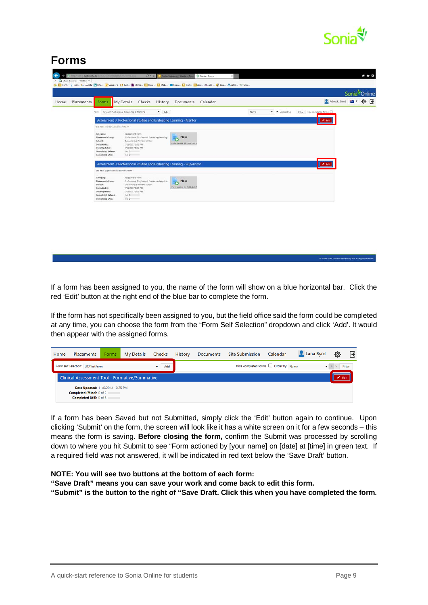

#### **[Forms](http://sonia.curtin.edu.au/soniaonline/student/myeforms.aspx)**

|                    |                                                                                                                          |                                                                                                                                                                     |                                      |      |                     |                             |                       | Sonia <sup>®</sup> Online |  |
|--------------------|--------------------------------------------------------------------------------------------------------------------------|---------------------------------------------------------------------------------------------------------------------------------------------------------------------|--------------------------------------|------|---------------------|-----------------------------|-----------------------|---------------------------|--|
| Placements<br>Home | Forms                                                                                                                    | My Details<br>Checks History                                                                                                                                        | Documents Calendar                   |      |                     |                             | Adcock Brent 20 + Q + |                           |  |
|                    | Form:                                                                                                                    | MTeach Professional Experience 1: Planning<br>$+$ Add                                                                                                               |                                      | Name | $\bullet$ Ascending | Filter Hipe completed forms |                       |                           |  |
|                    |                                                                                                                          | Assessment 3: Professional Studies and Evaluating Learning - Mentor                                                                                                 |                                      |      |                     |                             |                       |                           |  |
|                    | 3rd Year Mentor Assessment Form                                                                                          |                                                                                                                                                                     |                                      |      |                     |                             |                       |                           |  |
|                    | Category:<br><b>Placement Group:</b><br>School:<br>Date Added:<br>Date Updated:<br>Completed (Mine):<br>Completed (Alt): | Assessment Form<br>Professional Studies and Evaluating Learning<br>Ocean Grove Primary School<br>7/11/2017 1:32 PM<br>7/11/2017 1:32 PM<br>$0$ of $0$<br>$0$ of $2$ | New<br>ō<br>Form added on 7/11/2017  |      |                     |                             |                       |                           |  |
|                    |                                                                                                                          | Assessment 3: Professional Studies and Evaluating Learning - Supervisor                                                                                             |                                      |      |                     |                             |                       |                           |  |
|                    | 3rd Year Supervisor Assessment Form                                                                                      |                                                                                                                                                                     |                                      |      |                     |                             |                       |                           |  |
|                    | Category:<br><b>Placement Group:</b><br>School:<br>Date Added:<br>Date Updated:<br>Completed (Mine):<br>Completed (AID:  | Assessment Form<br>Professional Studies and Evaluating Learning<br>Ocean Grove Primary School<br>7/11/2017 1/05 PM<br>7/11/2017 1:05 PM<br>0.051<br>0 < 2           | New<br>÷.<br>Form added on 7/11/2017 |      |                     |                             |                       |                           |  |

If a form has been assigned to you, the name of the form will show on a blue horizontal bar. Click the red 'Edit' button at the right end of the blue bar to complete the form.

If the form has not specifically been assigned to you, but the field office said the form could be completed at any time, you can choose the form from the "Form Self Selection" dropdown and click 'Add'. It would then appear with the assigned forms.

| Home | Placements                                                                              | <b>Forms</b> | My Details | Checks | History | Documents Site Submission Calendar |                                       | Lana Byrd | 心 | R            |
|------|-----------------------------------------------------------------------------------------|--------------|------------|--------|---------|------------------------------------|---------------------------------------|-----------|---|--------------|
|      | Form self selection: UTATestForm                                                        |              |            | Add    |         |                                    | Hide completed forms   Order by: Name |           |   | v A V Filter |
|      | <b>Clinical Assessment Tool - Formative/Summative</b>                                   |              |            |        |         |                                    |                                       |           |   | Edit         |
|      | Date Updated: 11/6/2014 10:25 PM<br>Completed (Mine): 0 of 2<br>Completed (All): 0 of 6 |              |            |        |         |                                    |                                       |           |   |              |

If a form has been Saved but not Submitted, simply click the 'Edit' button again to continue. Upon clicking 'Submit' on the form, the screen will look like it has a white screen on it for a few seconds – this means the form is saving. **Before closing the form,** confirm the Submit was processed by scrolling down to where you hit Submit to see "Form actioned by [your name] on [date] at [time] in green text. If a required field was not answered, it will be indicated in red text below the 'Save Draft' button.

#### **NOTE: You will see two buttons at the bottom of each form:**

**"Save Draft" means you can save your work and come back to edit this form.**

**"Submit" is the button to the right of "Save Draft. Click this when you have completed the form.**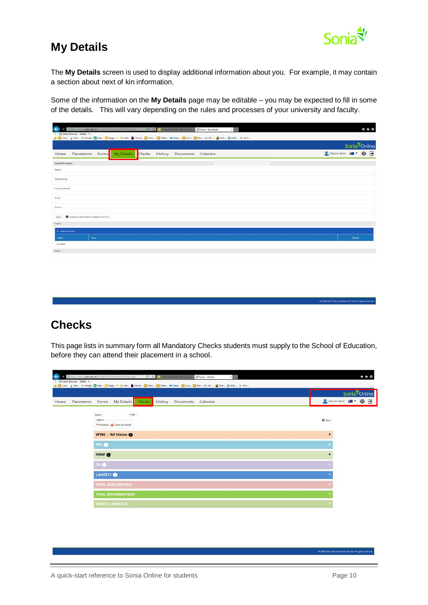

C 2008-2015 Planet Software Pty Ltd. All rights

## **My Details**

The **My Details** screen is used to display additional information about you. For example, it may contain a section about next of kin information.

Some of the information on the **My Details** page may be editable – you may be expected to fill in some of the details. This will vary depending on the rules and processes of your university and faculty.

|                                                                                   | Sonia <sup>4</sup> /Online |
|-----------------------------------------------------------------------------------|----------------------------|
| Checks History Documents<br>My Details<br>Placements<br>Calendar<br>Forms<br>Home | SAdcock Brent 图 · 章 日      |
| NextOfKin details                                                                 |                            |
| Name:                                                                             |                            |
| Relationship:                                                                     |                            |
| Contact details:                                                                  |                            |
| <b>Imalt</b>                                                                      |                            |
| Phone:                                                                            |                            |
| O codened by staff 1743228 on 22/06/2017 9:13:46 AM<br>Save                       |                            |
| Topics                                                                            |                            |
| + Add new topic                                                                   |                            |
| Topic                                                                             | Delete                     |
| <b>Major</b><br>No data                                                           |                            |
| Other                                                                             |                            |

#### <span id="page-9-0"></span>**Checks**

This page lists in summary form all Mandatory Checks students must supply to the School of Education, before they can attend their placement in a school.

|                    |                                                              | Sonia <sup>®</sup> Online |
|--------------------|--------------------------------------------------------------|---------------------------|
| Placements<br>Home | My Details Checks<br>History<br>Forms<br>Documents Calendar  | 2 Adcock Brent 品 · 章 子    |
|                    | Filter<br>Search<br>Legend<br>* Mandatory & Check not passed | El Save                   |
|                    | <b>WWC - All States @</b>                                    | ٠                         |
|                    | WA <sup>O</sup>                                              |                           |
|                    | NSW <sup>O</sup>                                             |                           |
|                    | SA O                                                         |                           |
|                    | <b>LANTITE</b> O                                             |                           |
|                    | <b>PRAC DOCUMENTS</b>                                        |                           |
|                    | <b>PRAC INFORMATION</b>                                      |                           |
|                    | <b>MISCELLANEOUS</b>                                         |                           |

C 2008-2015 Planet Soft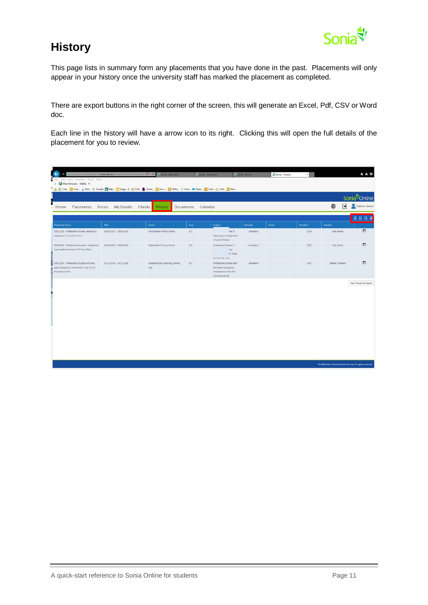

## <span id="page-10-0"></span>**History**

This page lists in summary form any placements that you have done in the past. Placements will only appear in your history once the university staff has marked the placement as completed.

There are export buttons in the right corner of the screen, this will generate an Excel, Pdf, CSV or Word doc.

Each line in the history will have a arrow icon to its right. Clicking this will open the full details of the placement for you to review.

<span id="page-10-1"></span>

| Placements<br>Home                                                                                              | Forms<br>My Details     | Checks<br><b>History</b>                 | Documents | Calendar                                                                                             |            |       |                 | 舂<br>l۰          | Adams Rachel<br><b>BBBB</b> |
|-----------------------------------------------------------------------------------------------------------------|-------------------------|------------------------------------------|-----------|------------------------------------------------------------------------------------------------------|------------|-------|-----------------|------------------|-----------------------------|
| Placement Group                                                                                                 | <b>Date</b>             | School                                   | Area.     | Subject                                                                                              | Semester   | Grade | <b>Ouration</b> | Mentors          |                             |
| EDEC2010 - Professional Studies Teaching &<br>Assessment in Junior Primary                                      | 08/06/2015 - 26/06/2015 | Piara Waters Primary School              | ECE       | lies in<br>Teaching and Assessment<br>in Junior Primary                                              | Semester 1 |       | 15.00           | Kara Bayaro      | Ð                           |
| EDEC3004 - Professional Studies in Supportive<br>Learning Environments (3-5 Year Olds)                          | 06/06/2016 - 24/06/2016 | Maddington Primary School                | ECE       | Professional Studies in<br>Ing<br>h Three<br>$\mathbf{r}$<br>he can con who                          | Semester 1 |       | 0.00            | Maz Bather       | Ð                           |
| EDEC3003 - Professional Studies with Early<br>Learning Quality Frameworks in the First to<br>Five Years of Life | 07/11/2016 - 25/11/2016 | Goodstart Early Learning Canning<br>Vale | ECE       | Professional Studies with<br>Early Learning Quality<br>Frameworks in the First<br>Five Years of Life | Semester 2 |       | 0.00            | Sandra D'Rozario | 罰                           |
|                                                                                                                 |                         |                                          |           |                                                                                                      |            |       |                 |                  |                             |

A quick-start reference to Sonia Online for students **Page 11** Page 11